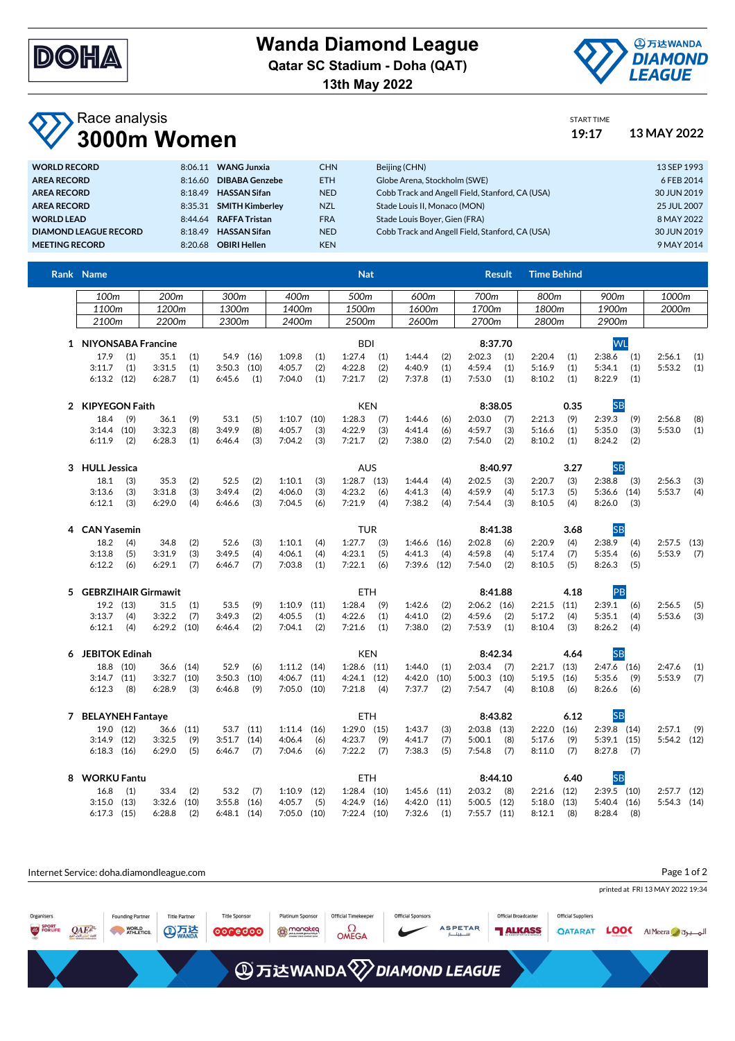

## **Wanda Diamond League**

**Qatar SC Stadium - Doha (QAT)**

**13th May 2022**



START TIME

## Race analysis **3000m Women 19:17 13 MAY 2022**

| <b>WORLD RECORD</b>          | 8:06.11 | <b>WANG Junxia</b>      | <b>CHN</b> | Beijing (CHN)                                   | 13 SEP 1993 |
|------------------------------|---------|-------------------------|------------|-------------------------------------------------|-------------|
| <b>AREA RECORD</b>           | 8:16.60 | <b>DIBABA Genzebe</b>   | <b>ETH</b> | Globe Arena, Stockholm (SWE)                    | 6 FEB 2014  |
| <b>AREA RECORD</b>           | 8:18.49 | <b>HASSAN Sifan</b>     | <b>NED</b> | Cobb Track and Angell Field, Stanford, CA (USA) | 30 JUN 2019 |
| <b>AREA RECORD</b>           |         | 8:35.31 SMITH Kimberley | <b>NZL</b> | Stade Louis II. Monaco (MON)                    | 25 JUL 2007 |
| <b>WORLD LEAD</b>            |         | 8:44.64 RAFFA Tristan   | <b>FRA</b> | Stade Louis Bover, Gien (FRA)                   | 8 MAY 2022  |
| <b>DIAMOND LEAGUE RECORD</b> |         | 8:18.49 HASSAN Sifan    | <b>NED</b> | Cobb Track and Angell Field, Stanford, CA (USA) | 30 JUN 2019 |
| <b>MEETING RECORD</b>        | 8:20.68 | <b>OBIRI Hellen</b>     | <b>KEN</b> |                                                 | 9 MAY 2014  |
|                              |         |                         |            |                                                 |             |

| Rank Name             |           |                 |           |               |      |                       |      | <b>Nat</b>      |     |                 |                   |               | <b>Result</b>   | <b>Time Behind</b> |      |               |     |               |      |
|-----------------------|-----------|-----------------|-----------|---------------|------|-----------------------|------|-----------------|-----|-----------------|-------------------|---------------|-----------------|--------------------|------|---------------|-----|---------------|------|
| 100m                  |           | 200m            |           | 300m          |      | 400m                  |      | 500m            |     | 600m            |                   | 700m          |                 | 800m               |      | 900m          |     | 1000m         |      |
| 1100m                 |           | 1200m           |           | 1300m         |      | 1400m                 |      | 1500m           |     | 1600m           |                   | 1700m         |                 | 1800m              |      | 1900m         |     | 2000m         |      |
| 2100 <sub>m</sub>     |           | 2200m           |           | 2300m         |      | 2400m                 |      | 2500m           |     | 2600m           |                   | 2700m         |                 | 2800m              |      | 2900m         |     |               |      |
| 1 NIYONSABA Francine  |           |                 |           |               |      |                       |      | <b>BDI</b>      |     |                 |                   | 8:37.70       |                 |                    |      | <b>WL</b>     |     |               |      |
| 17.9                  | (1)       | 35.1            | (1)       | 54.9          | (16) | 1:09.8                | (1)  | 1:27.4          | (1) | 1:44.4          | (2)               | 2:02.3        | (1)             | 2:20.4             | (1)  | 2:38.6        | (1) | 2:56.1        | (1)  |
| 3:11.7                | (1)       | 3:31.5          | (1)       | 3:50.3        | (10) | 4:05.7                | (2)  | 4:22.8          | (2) | 4:40.9          | (1)               | 4:59.4        | (1)             | 5:16.9             | (1)  | 5:34.1        | (1) | 5:53.2        | (1)  |
| $6:13.2$ $(12)$       |           | 6:28.7          | (1)       | 6:45.6        | (1)  | 7:04.0                | (1)  | 7:21.7          | (2) | 7:37.8          | (1)               | 7:53.0        | (1)             | 8:10.2             | (1)  | 8:22.9        | (1) |               |      |
| 2 KIPYEGON Faith      |           |                 |           |               |      |                       |      | <b>KEN</b>      |     |                 |                   |               | 8:38.05<br>0.35 |                    |      | <b>SB</b>     |     |               |      |
| 18.4                  | (9)       | 36.1            | (9)       | 53.1          | (5)  | $1:10.7$ (10)         |      | 1:28.3          | (7) | 1:44.6          | (6)               | 2:03.0        | (7)             | 2:21.3             | (9)  | 2:39.3        | (9) | 2:56.8        | (8)  |
| $3:14.4$ (10)         |           | 3:32.3          | (8)       | 3:49.9        | (8)  | 4:05.7                | (3)  | 4:22.9          | (3) | 4:41.4          | (6)               | 4:59.7        | (3)             | 5:16.6             | (1)  | 5:35.0        | (3) | 5:53.0        | (1)  |
| 6:11.9                | (2)       | 6:28.3          | (1)       | 6:46.4        | (3)  | 7:04.2                | (3)  | 7:21.7          | (2) | 7:38.0          | (2)               | 7:54.0        | (2)             | 8:10.2             | (1)  | 8:24.2        | (2) |               |      |
| 3 HULL Jessica        |           |                 |           |               |      |                       |      | <b>AUS</b>      |     |                 |                   |               | 8:40.97         |                    | 3.27 | <b>SB</b>     |     |               |      |
| 18.1                  | (3)       | 35.3            | (2)       | 52.5          | (2)  | 1:10.1                | (3)  | $1:28.7$ $(13)$ |     | 1:44.4          | (4)               | 2:02.5        | (3)             | 2:20.7             | (3)  | 2:38.8        | (3) | 2:56.3        | (3)  |
| 3:13.6                | (3)       | 3:31.8          | (3)       | 3:49.4        | (2)  | 4:06.0                | (3)  | 4:23.2          | (6) | 4:41.3          | (4)               | 4:59.9        | (4)             | 5:17.3             | (5)  | 5:36.6 (14)   |     | 5:53.7        | (4)  |
| 6:12.1                | (3)       | 6:29.0          | (4)       | 6:46.6        | (3)  | 7:04.5                | (6)  | 7:21.9          | (4) | 7:38.2          | (4)               | 7:54.4        | (3)             | 8:10.5             | (4)  | 8:26.0        | (3) |               |      |
| 4 CAN Yasemin         |           |                 |           |               |      |                       |      | <b>TUR</b>      |     |                 |                   |               | 8:41.38         |                    | 3.68 | <b>SB</b>     |     |               |      |
| 18.2                  | (4)       | 34.8            | (2)       | 52.6          | (3)  | 1:10.1                | (4)  | 1:27.7          | (3) | $1:46.6$ (16)   |                   | 2:02.8        | (6)             | 2:20.9             | (4)  | 2:38.9        | (4) | 2:57.5        | (13) |
| 3:13.8                | (5)       | 3:31.9          | (3)       | 3:49.5        | (4)  | 4:06.1                | (4)  | 4:23.1          | (5) | 4:41.3          | (4)               | 4:59.8        | (4)             | 5:17.4             | (7)  | 5:35.4        | (6) | 5:53.9        | (7)  |
| 6:12.2                | (6)       | 6:29.1          | (7)       | 6:46.7        | (7)  | 7:03.8                | (1)  | 7:22.1          | (6) | 7:39.6 (12)     |                   | 7:54.0        | (2)             | 8:10.5             | (5)  | 8:26.3        | (5) |               |      |
| 5 GEBRZIHAIR Girmawit |           |                 |           |               |      |                       |      | ETH.            |     |                 |                   |               | 8:41.88         |                    | 4.18 | PB            |     |               |      |
|                       | 19.2 (13) | 31.5            | (1)       | 53.5          | (9)  | $1:10.9$ (11)         |      | 1:28.4          | (9) | 1:42.6          | (2)               | $2:06.2$ (16) |                 | $2:21.5$ $(11)$    |      | 2:39.1        | (6) | 2:56.5        | (5)  |
| 3:13.7                | (4)       | 3:32.2          | (7)       | 3:49.3        | (2)  | 4:05.5                | (1)  | 4:22.6          | (1) | 4:41.0          | (2)               | 4:59.6        | (2)             | 5:17.2             | (4)  | 5:35.1        | (4) | 5:53.6        | (3)  |
| 6:12.1                | (4)       | $6:29.2$ $(10)$ |           | 6:46.4        | (2)  | 7:04.1                | (2)  | 7:21.6          | (1) | 7:38.0          | (2)               | 7:53.9        | (1)             | 8:10.4             | (3)  | 8:26.2        | (4) |               |      |
| 6 JEBITOK Edinah      |           |                 |           |               |      | <b>KEN</b><br>8:42.34 |      |                 |     |                 | <b>SB</b><br>4.64 |               |                 |                    |      |               |     |               |      |
|                       | 18.8 (10) |                 | 36.6 (14) | 52.9          | (6)  | $1:11.2$ (14)         |      | $1:28.6$ (11)   |     | 1:44.0          | (1)               | 2:03.4        | (7)             | $2:21.7$ (13)      |      | $2:47.6$ (16) |     | 2:47.6        | (1)  |
| $3:14.7$ (11)         |           | 3:32.7          | (10)      | 3:50.3        | (10) | $4:06.7$ $(11)$       |      | $4:24.1$ $(12)$ |     | 4:42.0          | (10)              | $5:00.3$ (10) |                 | 5:19.5             | (16) | 5:35.6        | (9) | 5:53.9        | (7)  |
| 6:12.3                | (8)       | 6:28.9          | (3)       | 6:46.8        | (9)  | $7:05.0$ (10)         |      | 7:21.8          | (4) | 7:37.7          | (2)               | 7:54.7        | (4)             | 8:10.8             | (6)  | 8:26.6        | (6) |               |      |
| 7 BELAYNEH Fantaye    |           |                 |           |               |      |                       |      | ETH             |     |                 |                   |               | 8:43.82         |                    | 6.12 | <b>SB</b>     |     |               |      |
|                       | 19.0 (12) |                 | 36.6 (11) | 53.7          | (11) | 1:11.4                | (16) | $1:29.0$ (15)   |     | 1:43.7          | (3)               | $2:03.8$ (13) |                 | 2:22.0             | (16) | $2:39.8$ (14) |     | 2:57.1        | (9)  |
| $3:14.9$ (12)         |           | 3:32.5          | (9)       | 3:51.7        | (14) | 4:06.4                | (6)  | 4:23.7          | (9) | 4:41.7          | (7)               | 5:00.1        | (8)             | 5:17.6             | (9)  | $5:39.1$ (15) |     | $5:54.2$ (12) |      |
| $6:18.3$ $(16)$       |           | 6:29.0          | (5)       | 6:46.7        | (7)  | 7:04.6                | (6)  | 7:22.2          | (7) | 7:38.3          | (5)               | 7:54.8        | (7)             | 8:11.0             | (7)  | 8:27.8        | (7) |               |      |
| 8 WORKU Fantu         |           |                 |           |               |      |                       |      | ETH             |     |                 |                   |               | 8:44.10         |                    | 6.40 | <b>SB</b>     |     |               |      |
| 16.8                  | (1)       | 33.4            | (2)       | 53.2          | (7)  | $1:10.9$ (12)         |      | $1:28.4$ (10)   |     | $1:45.6$ (11)   |                   | 2:03.2        | (8)             | $2:21.6$ (12)      |      | $2:39.5$ (10) |     | $2:57.7$ (12) |      |
| $3:15.0$ $(13)$       |           | $3:32.6$ (10)   |           | $3:55.8$ (16) |      | 4:05.7                | (5)  | $4:24.9$ $(16)$ |     | $4:42.0$ $(11)$ |                   | $5:00.5$ (12) |                 | $5:18.0$ $(13)$    |      | $5:40.4$ (16) |     | $5:54.3$ (14) |      |

| Page 1 of 2<br>Internet Service: doha.diamondleague.com |            |                                                |                                    |                                 |                                       |                                                 |                          |                |                                               |                                             |             |                                  |
|---------------------------------------------------------|------------|------------------------------------------------|------------------------------------|---------------------------------|---------------------------------------|-------------------------------------------------|--------------------------|----------------|-----------------------------------------------|---------------------------------------------|-------------|----------------------------------|
|                                                         |            |                                                |                                    |                                 |                                       |                                                 |                          |                |                                               |                                             |             | printed at FRI 13 MAY 2022 19:34 |
| Organisers<br>SPORT<br>FOR LIFE                         | <b>QAE</b> | <b>Founding Partner</b><br>WORLD<br>ATHLETICS. | <b>Title Partner</b><br><b>ATT</b> | <b>Title Sponsor</b><br>0000000 | Platinum Sponsor<br><b>ED</b> manakeg | <b>Official Timekeeper</b><br>Ω<br><b>OMEGA</b> | <b>Official Sponsors</b> | <b>ASPETAR</b> | <b>Official Broadcaster</b><br><b>TALKASS</b> | <b>Official Suppliers</b><br><b>QATARAT</b> | <b>LOOK</b> | Al Meera dy                      |
| <b>④万达WANDA</b> <sup>2</sup> DIAMOND LEAGUE             |            |                                                |                                    |                                 |                                       |                                                 |                          |                |                                               |                                             |             |                                  |

6:17.3 (15) 6:28.8 (2) 6:48.1 (14) 7:05.0 (10) 7:22.4 (10) 7:32.6 (1) 7:55.7 (11) 8:12.1 (8) 8:28.4 (8)